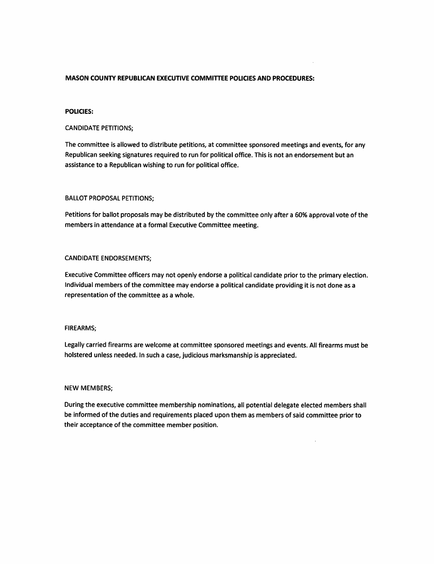# MASON COUNTY REPUBLICAN EXECUTIVE COMMITTEE POLICIES AND PROCEDURES:

#### POLICIES:

# CANDIDATE PETITIONS;

The committee is allowed to distribute petitions, at committee sponsored meetings and events, for any Republican seeking signatures required to run for political office. This is not an endorsement but an assistance to a Republican wishing to run for political office.

#### BALLOT PROPOSAL PETITIONS;

Petitions for ballot proposals may be distributed by the committee only after a 60% approval vote of the members in attendance at a formal Executive Committee meeting.

# CANDIDATE ENDORSEMENTS;

Executive Committee officers may not openly endorse a political candidate prior to the primary election. Individual members of the committee may endorse a political candidate providing it is not done as a representation of the committee as a whole.

#### FIREARMS;

Legally carried firearms are welcome at committee sponsored meetings and events. All firearms must be bolstered unless needed. In such a case, judicious marksmanship is appreciated.

#### NEW MEMBERS;

During the executive committee membership nominations, all potential delegate elected members shall be informed of the duties and requirements placed upon them as members of said committee prior to their acceptance of the committee member position.